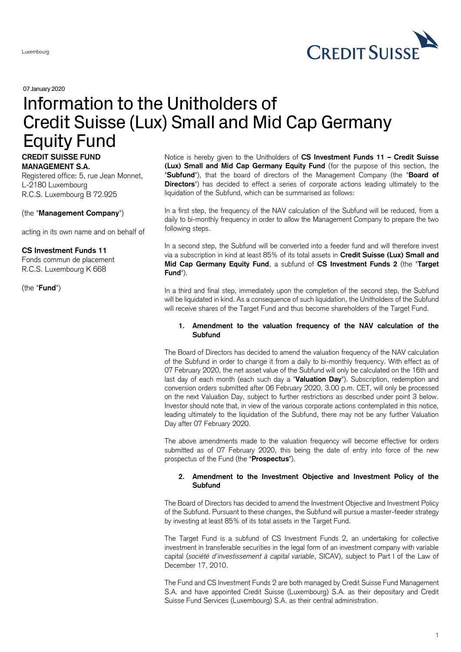

07January 2020

# Information to the Unitholders of Credit Suisse (Lux) Small and Mid Cap Germany Equity Fund

# **CREDIT SUISSE FUND MANAGEMENT S.A.**

Registered office: 5, rue Jean Monnet, L-2180 Luxembourg R.C.S. Luxembourg B 72.925

## (the "**Management Company**")

acting in its own name and on behalf of

# **CS Investment Funds 11**

Fonds commun de placement R.C.S. Luxembourg K 668

(the "**Fund**")

Notice is hereby given to the Unitholders of **CS Investment Funds 11 – Credit Suisse (Lux) Small and Mid Cap Germany Equity Fund** (for the purpose of this section, the "**Subfund**"), that the board of directors of the Management Company (the "**Board of Directors**") has decided to effect a series of corporate actions leading ultimately to the liquidation of the Subfund, which can be summarised as follows:

In a first step, the frequency of the NAV calculation of the Subfund will be reduced, from a daily to bi-monthly frequency in order to allow the Management Company to prepare the two following steps.

In a second step, the Subfund will be converted into a feeder fund and will therefore invest via a subscription in kind at least 85% of its total assets in **Credit Suisse (Lux) Small and Mid Cap Germany Equity Fund**, a subfund of **CS Investment Funds 2** (the "**Target Fund**").

In a third and final step, immediately upon the completion of the second step, the Subfund will be liquidated in kind. As a consequence of such liquidation, the Unitholders of the Subfund will receive shares of the Target Fund and thus become shareholders of the Target Fund.

## **1. Amendment to the valuation frequency of the NAV calculation of the Subfund**

The Board of Directors has decided to amend the valuation frequency of the NAV calculation of the Subfund in order to change it from a daily to bi-monthly frequency. With effect as of 07 February 2020, the net asset value of the Subfund will only be calculated on the 16th and last day of each month (each such day a "**Valuation Day**"). Subscription, redemption and conversion orders submitted after 06 February 2020, 3.00 p.m. CET, will only be processed on the next Valuation Day, subject to further restrictions as described under point 3 below. Investor should note that, in view of the various corporate actions contemplated in this notice, leading ultimately to the liquidation of the Subfund, there may not be any further Valuation Day after 07 February 2020.

The above amendments made to the valuation frequency will become effective for orders submitted as of 07 February 2020, this being the date of entry into force of the new prospectus of the Fund (the "**Prospectus**").

## **2. Amendment to the Investment Objective and Investment Policy of the Subfund**

The Board of Directors has decided to amend the Investment Objective and Investment Policy of the Subfund. Pursuant to these changes, the Subfund will pursue a master-feeder strategy by investing at least 85% of its total assets in the Target Fund.

The Target Fund is a subfund of CS Investment Funds 2, an undertaking for collective investment in transferable securities in the legal form of an investment company with variable capital (*société d'investissement à capital variable*, SICAV), subject to Part I of the Law of December 17, 2010.

The Fund and CS Investment Funds 2 are both managed by Credit Suisse Fund Management S.A. and have appointed Credit Suisse (Luxembourg) S.A. as their depositary and Credit Suisse Fund Services (Luxembourg) S.A. as their central administration.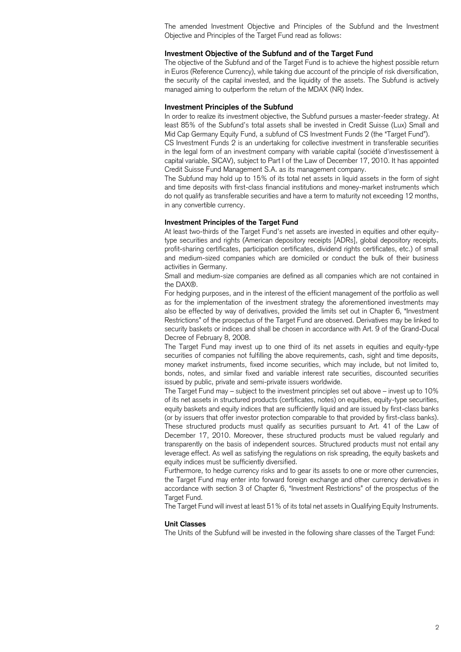The amended Investment Objective and Principles of the Subfund and the Investment Objective and Principles of the Target Fund read as follows:

#### **Investment Objective of the Subfund and of the Target Fund**

The objective of the Subfund and of the Target Fund is to achieve the highest possible return in Euros (Reference Currency), while taking due account of the principle of risk diversification, the security of the capital invested, and the liquidity of the assets. The Subfund is actively managed aiming to outperform the return of the MDAX (NR) Index.

## **Investment Principles of the Subfund**

In order to realize its investment objective, the Subfund pursues a master-feeder strategy. At least 85% of the Subfund's total assets shall be invested in Credit Suisse (Lux) Small and Mid Cap Germany Equity Fund, a subfund of CS Investment Funds 2 (the "Target Fund").

CS Investment Funds 2 is an undertaking for collective investment in transferable securities in the legal form of an investment company with variable capital (société d'investissement à capital variable, SICAV), subject to Part I of the Law of December 17, 2010. It has appointed Credit Suisse Fund Management S.A. as its management company.

The Subfund may hold up to 15% of its total net assets in liquid assets in the form of sight and time deposits with first-class financial institutions and money-market instruments which do not qualify as transferable securities and have a term to maturity not exceeding 12 months, in any convertible currency.

#### **Investment Principles of the Target Fund**

At least two-thirds of the Target Fund's net assets are invested in equities and other equitytype securities and rights (American depository receipts [ADRs], global depository receipts, profit-sharing certificates, participation certificates, dividend rights certificates, etc.) of small and medium-sized companies which are domiciled or conduct the bulk of their business activities in Germany.

Small and medium-size companies are defined as all companies which are not contained in the DAX®.

For hedging purposes, and in the interest of the efficient management of the portfolio as well as for the implementation of the investment strategy the aforementioned investments may also be effected by way of derivatives, provided the limits set out in Chapter 6, "Investment Restrictions" of the prospectus of the Target Fund are observed. Derivatives may be linked to security baskets or indices and shall be chosen in accordance with Art. 9 of the Grand-Ducal Decree of February 8, 2008.

The Target Fund may invest up to one third of its net assets in equities and equity-type securities of companies not fulfilling the above requirements, cash, sight and time deposits, money market instruments, fixed income securities, which may include, but not limited to, bonds, notes, and similar fixed and variable interest rate securities, discounted securities issued by public, private and semi-private issuers worldwide.

The Target Fund may – subject to the investment principles set out above – invest up to 10% of its net assets in structured products (certificates, notes) on equities, equity-type securities, equity baskets and equity indices that are sufficiently liquid and are issued by first-class banks (or by issuers that offer investor protection comparable to that provided by first-class banks). These structured products must qualify as securities pursuant to Art. 41 of the Law of December 17, 2010. Moreover, these structured products must be valued regularly and transparently on the basis of independent sources. Structured products must not entail any leverage effect. As well as satisfying the regulations on risk spreading, the equity baskets and equity indices must be sufficiently diversified.

Furthermore, to hedge currency risks and to gear its assets to one or more other currencies, the Target Fund may enter into forward foreign exchange and other currency derivatives in accordance with section 3 of Chapter 6, "Investment Restrictions" of the prospectus of the Target Fund.

The Target Fund will invest at least 51% of its total net assets in Qualifying Equity Instruments.

## **Unit Classes**

The Units of the Subfund will be invested in the following share classes of the Target Fund: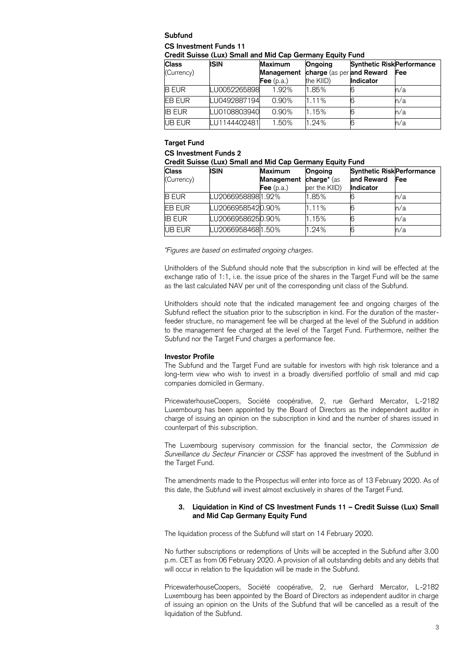# **Subfund**

## **CS Investment Funds 11**

**Credit Suisse (Lux) Small and Mid Cap Germany Equity Fund**

| <b>Class</b>  | <b>ISIN</b>  | <b>Maximum</b> | <b>Ongoing</b>            | <b>Synthetic Risk Performance</b> |     |
|---------------|--------------|----------------|---------------------------|-----------------------------------|-----|
| (Currency)    |              | Management     | charge (as per and Reward |                                   | Fee |
|               |              | Fee $(p.a.)$   | the KIID)                 | <b>Indicator</b>                  |     |
| <b>B</b> EUR  | LU0052265898 | 1.92%          | 1.85%                     |                                   | n/a |
| <b>EB EUR</b> | LU0492887194 | 0.90%          | 1.11%                     |                                   | n/a |
| <b>IB EUR</b> | LU0108803940 | $0.90\%$       | 1.15%                     |                                   | n/a |
| <b>UB EUR</b> | LU1144402481 | 1.50%          | 1.24%                     |                                   | n/a |

## **Target Fund**

**CS Investment Funds 2**

## **Credit Suisse (Lux) Small and Mid Cap Germany Equity Fund**

| <b>Class</b>  | <b>ISIN</b>        | Maximum      | <b>Ongoing</b>          | <b>Synthetic Risk Performance</b> |     |
|---------------|--------------------|--------------|-------------------------|-----------------------------------|-----|
| (Currency)    |                    | Management   | charge <sup>*</sup> (as | and Reward                        | Fee |
|               |                    | Fee $(p.a.)$ | per the KIID)           | Indicator                         |     |
| <b>B</b> EUR  | LU2066958898 1.92% |              | 1.85%                   |                                   | n/a |
| <b>EB EUR</b> | LU20669585420.90%  |              | 1.11%                   |                                   | n/a |
| <b>IB EUR</b> | LU20669586250.90%  |              | 1.15%                   |                                   | n/a |
| <b>UB EUR</b> | LU2066958468 1.50% |              | 1.24%                   |                                   | n/a |

*\*Figures are based on estimated ongoing charges.*

Unitholders of the Subfund should note that the subscription in kind will be effected at the exchange ratio of 1:1, i.e. the issue price of the shares in the Target Fund will be the same as the last calculated NAV per unit of the corresponding unit class of the Subfund.

Unitholders should note that the indicated management fee and ongoing charges of the Subfund reflect the situation prior to the subscription in kind. For the duration of the masterfeeder structure, no management fee will be charged at the level of the Subfund in addition to the management fee charged at the level of the Target Fund. Furthermore, neither the Subfund nor the Target Fund charges a performance fee.

## **Investor Profile**

The Subfund and the Target Fund are suitable for investors with high risk tolerance and a long-term view who wish to invest in a broadly diversified portfolio of small and mid cap companies domiciled in Germany.

PricewaterhouseCoopers, Société coopérative, 2, rue Gerhard Mercator, L-2182 Luxembourg has been appointed by the Board of Directors as the independent auditor in charge of issuing an opinion on the subscription in kind and the number of shares issued in counterpart of this subscription.

The Luxembourg supervisory commission for the financial sector, the *Commission de Surveillance du Secteur Financier* or *CSSF* has approved the investment of the Subfund in the Target Fund.

The amendments made to the Prospectus will enter into force as of 13 February 2020. As of this date, the Subfund will invest almost exclusively in shares of the Target Fund.

## **3. Liquidation in Kind of CS Investment Funds 11 – Credit Suisse (Lux) Small and Mid Cap Germany Equity Fund**

The liquidation process of the Subfund will start on 14 February 2020.

No further subscriptions or redemptions of Units will be accepted in the Subfund after 3.00 p.m. CET as from 06 February 2020. A provision of all outstanding debits and any debits that will occur in relation to the liquidation will be made in the Subfund.

PricewaterhouseCoopers, Société coopérative, 2, rue Gerhard Mercator, L-2182 Luxembourg has been appointed by the Board of Directors as independent auditor in charge of issuing an opinion on the Units of the Subfund that will be cancelled as a result of the liquidation of the Subfund.